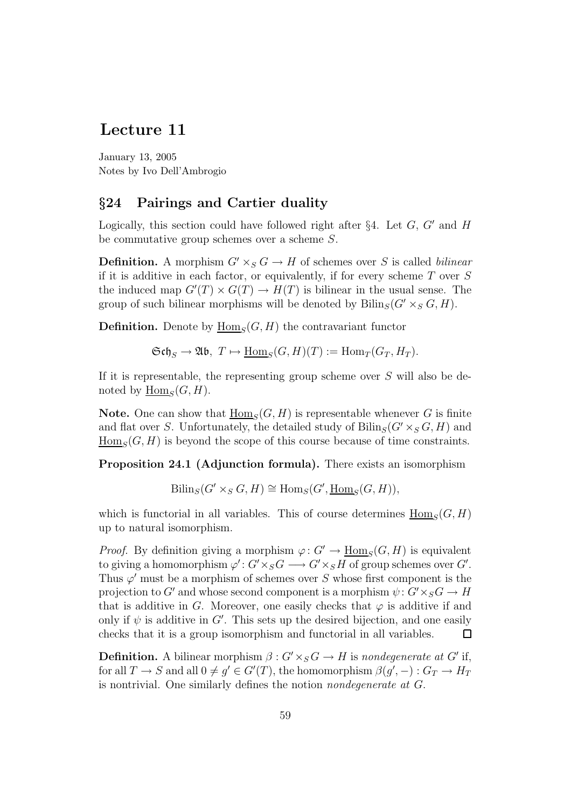## Lecture 11

January 13, 2005 Notes by Ivo Dell'Ambrogio

## §24 Pairings and Cartier duality

Logically, this section could have followed right after §4. Let  $G, G'$  and H be commutative group schemes over a scheme S.

**Definition.** A morphism  $G' \times_S G \to H$  of schemes over S is called *bilinear* if it is additive in each factor, or equivalently, if for every scheme  $T$  over  $S$ the induced map  $G'(T) \times G(T) \to H(T)$  is bilinear in the usual sense. The group of such bilinear morphisms will be denoted by  $\text{Bilin}_{S}(G' \times_{S} G, H)$ .

**Definition.** Denote by  $\underline{\text{Hom}}_S(G, H)$  the contravariant functor

 $\mathfrak{Sch}_S \to \mathfrak{Ab}, T \mapsto \underline{\mathrm{Hom}}_S(G, H)(T) := \mathrm{Hom}_T(G_T, H_T).$ 

If it is representable, the representing group scheme over S will also be denoted by  $\underline{\text{Hom}}_S(G, H)$ .

**Note.** One can show that  $\underline{\text{Hom}}_S(G, H)$  is representable whenever G is finite and flat over S. Unfortunately, the detailed study of  $\text{Bilin}_{S}(G' \times_{S} G, H)$  and  $\underline{\text{Hom}}_S(G, H)$  is beyond the scope of this course because of time constraints.

Proposition 24.1 (Adjunction formula). There exists an isomorphism

 $\text{Biling}(G' \times_S G, H) \cong \text{Hom}_S(G', \underline{\text{Hom}}_S(G, H)),$ 

which is functorial in all variables. This of course determines  $\underline{\text{Hom}}_S(G, H)$ up to natural isomorphism.

*Proof.* By definition giving a morphism  $\varphi: G' \to \underline{\text{Hom}}_S(G, H)$  is equivalent to giving a homomorphism  $\varphi' : G' \times_S G \longrightarrow G' \times_S H$  of group schemes over  $G'$ . Thus  $\varphi'$  must be a morphism of schemes over S whose first component is the projection to G' and whose second component is a morphism  $\psi: G' \times_S G \to H$ that is additive in G. Moreover, one easily checks that  $\varphi$  is additive if and only if  $\psi$  is additive in G'. This sets up the desired bijection, and one easily checks that it is a group isomorphism and functorial in all variables.  $\Box$ 

**Definition.** A bilinear morphism  $\beta: G' \times_S G \to H$  is nondegenerate at G' if, for all  $T \to S$  and all  $0 \neq g' \in G'(T)$ , the homomorphism  $\beta(g', -) : G_T \to H_T$ is nontrivial. One similarly defines the notion nondegenerate at G.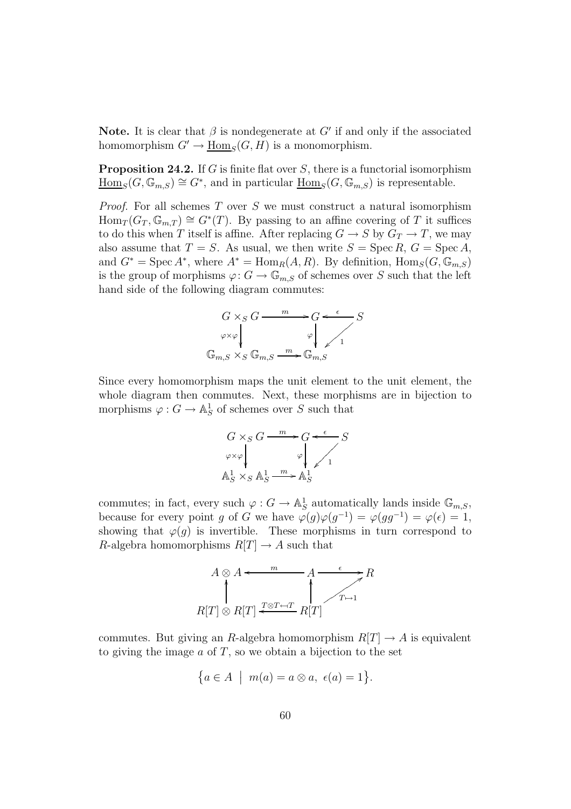Note. It is clear that  $\beta$  is nondegenerate at G' if and only if the associated homomorphism  $G' \to \underline{\text{Hom}}_S(G, H)$  is a monomorphism.

**Proposition 24.2.** If G is finite flat over S, there is a functorial isomorphism  $\underline{\text{Hom}}_S(G,\mathbb{G}_{m,S}) \cong G^*$ , and in particular  $\underline{\text{Hom}}_S(G,\mathbb{G}_{m,S})$  is representable.

*Proof.* For all schemes  $T$  over  $S$  we must construct a natural isomorphism  $Hom_T(G_T, \mathbb{G}_{m,T}) \cong G^*(T)$ . By passing to an affine covering of T it suffices to do this when T itself is affine. After replacing  $G \to S$  by  $G_T \to T$ , we may also assume that  $T = S$ . As usual, we then write  $S = \operatorname{Spec} R$ ,  $G = \operatorname{Spec} A$ , and  $G^* = \operatorname{Spec} A^*$ , where  $A^* = \operatorname{Hom}_R(A, R)$ . By definition,  $\operatorname{Hom}_S(G, \mathbb{G}_{m,S})$ is the group of morphisms  $\varphi: G \to \mathbb{G}_{m,S}$  of schemes over S such that the left hand side of the following diagram commutes:



Since every homomorphism maps the unit element to the unit element, the whole diagram then commutes. Next, these morphisms are in bijection to morphisms  $\varphi: G \to \mathbb{A}^1_S$  of schemes over S such that



commutes; in fact, every such  $\varphi: G \to \mathbb{A}^1_S$  automatically lands inside  $\mathbb{G}_{m,S}$ , because for every point g of G we have  $\varphi(g)\varphi(g^{-1}) = \varphi(gg^{-1}) = \varphi(\epsilon) = 1$ , showing that  $\varphi(q)$  is invertible. These morphisms in turn correspond to R-algebra homomorphisms  $R[T] \to A$  such that



commutes. But giving an R-algebra homomorphism  $R[T] \rightarrow A$  is equivalent to giving the image  $a$  of  $T$ , so we obtain a bijection to the set

$$
\big\{a\in A\;\big|\; \; m(a)=a\otimes a,\;\epsilon(a)=1\big\}.
$$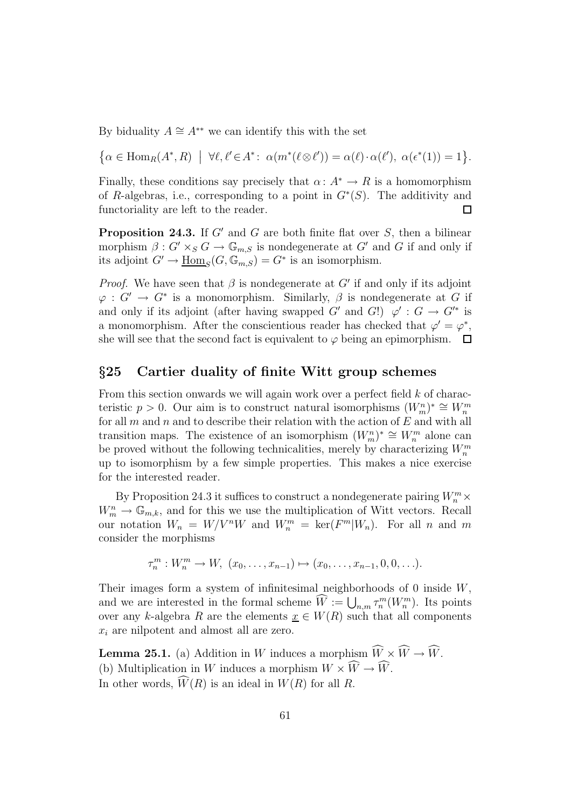By biduality  $A \cong A^{**}$  we can identify this with the set

 $\{\alpha \in \text{Hom}_R(A^*, R) \mid \forall \ell, \ell' \in A^* \colon \alpha(m^*(\ell \otimes \ell')) = \alpha(\ell) \cdot \alpha(\ell'), \alpha(\epsilon^*(1)) = 1\}.$ 

Finally, these conditions say precisely that  $\alpha: A^* \to R$  is a homomorphism of R-algebras, i.e., corresponding to a point in  $G^*(S)$ . The additivity and functoriality are left to the reader.  $\Box$ 

**Proposition 24.3.** If  $G'$  and  $G$  are both finite flat over  $S$ , then a bilinear morphism  $\beta: G' \times_S G \to \mathbb{G}_{m,S}$  is nondegenerate at  $G'$  and G if and only if its adjoint  $G' \to \underline{\text{Hom}}_S(G, \mathbb{G}_{m,S}) = G^*$  is an isomorphism.

*Proof.* We have seen that  $\beta$  is nondegenerate at G' if and only if its adjoint  $\varphi: G' \to G^*$  is a monomorphism. Similarly,  $\beta$  is nondegenerate at G if and only if its adjoint (after having swapped  $G'$  and  $G'$ )  $\varphi' : G \to G'^*$  is a monomorphism. After the conscientious reader has checked that  $\varphi' = \varphi^*$ , she will see that the second fact is equivalent to  $\varphi$  being an epimorphism.  $\Box$ 

## §25 Cartier duality of finite Witt group schemes

From this section onwards we will again work over a perfect field  $k$  of characteristic  $p > 0$ . Our aim is to construct natural isomorphisms  $(W_m^n)^* \cong W_m^m$ for all  $m$  and  $n$  and to describe their relation with the action of  $E$  and with all transition maps. The existence of an isomorphism  $(W_m^n)^* \cong W_m^m$  alone can be proved without the following technicalities, merely by characterizing  $W_n^m$ up to isomorphism by a few simple properties. This makes a nice exercise for the interested reader.

By Proposition 24.3 it suffices to construct a nondegenerate pairing  $W_n^m \times$  $W_m^n \to \mathbb{G}_{m,k}$ , and for this we use the multiplication of Witt vectors. Recall our notation  $W_n = W/V^nW$  and  $W_n^m = \text{ker}(F^m|W_n)$ . For all n and m consider the morphisms

$$
\tau_n^m: W_n^m \to W, \ (x_0, \ldots, x_{n-1}) \mapsto (x_0, \ldots, x_{n-1}, 0, 0, \ldots).
$$

Their images form a system of infinitesimal neighborhoods of 0 inside W, and we are interested in the formal scheme  $\widehat{W} := \bigcup_{n,m} \tau_n^m(W_n^m)$ . Its points over any k-algebra R are the elements  $x \in W(R)$  such that all components  $x_i$  are nilpotent and almost all are zero.

**Lemma 25.1.** (a) Addition in W induces a morphism  $\widehat{W} \times \widehat{W} \to \widehat{W}$ . (b) Multiplication in W induces a morphism  $W \times \widehat{W} \to \widehat{W}$ . In other words,  $\widehat{W}(R)$  is an ideal in  $W(R)$  for all R.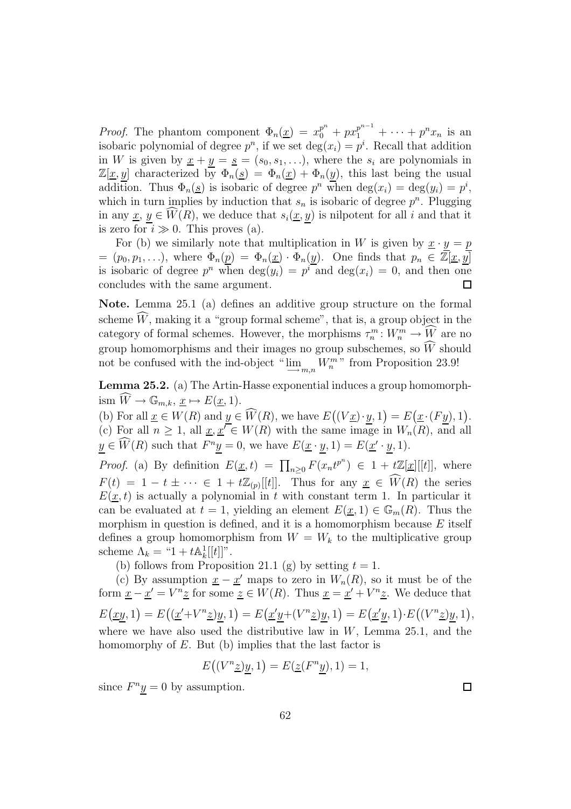*Proof.* The phantom component  $\Phi_n(\underline{x}) = x_0^{p^n} + px_1^{p^{n-1}} + \cdots + p^n x_n$  is an isobaric polynomial of degree  $p^n$ , if we set  $\deg(x_i) = p^i$ . Recall that addition in W is given by  $\underline{x} + y = \underline{s} = (s_0, s_1, \ldots)$ , where the  $s_i$  are polynomials in  $\mathbb{Z}[\underline{x}, y]$  characterized by  $\Phi_n(\underline{s}) = \Phi_n(\underline{x}) + \Phi_n(y)$ , this last being the usual addition. Thus  $\Phi_n(\underline{s})$  is isobaric of degree  $p^n$  when  $\deg(x_i) = \deg(y_i) = p^i$ , which in turn implies by induction that  $s_n$  is isobaric of degree  $p^n$ . Plugging in any  $\underline{x}, y \in \widehat{W}(R)$ , we deduce that  $s_i(\underline{x}, \underline{y})$  is nilpotent for all i and that it is zero for  $i \gg 0$ . This proves (a).

For (b) we similarly note that multiplication in W is given by  $\underline{x} \cdot y = p$  $=(p_0, p_1, \ldots),$  where  $\Phi_n(p) = \Phi_n(\underline{x}) \cdot \Phi_n(y)$ . One finds that  $p_n \in \mathbb{Z}[\underline{x}, \overline{y}]$ is isobaric of degree  $p^n$  when  $\deg(y_i) = p^i$  and  $\deg(x_i) = 0$ , and then one concludes with the same argument.  $\Box$ 

Note. Lemma 25.1 (a) defines an additive group structure on the formal scheme  $\hat{W}$ , making it a "group formal scheme", that is, a group object in the category of formal schemes. However, the morphisms  $\tau_n^m: W_n^m \to W$  are no group homomorphisms and their images no group subschemes, so  $\widehat{W}$  should not be confused with the ind-object " $\lim_{m,n} W_n^m$ " from Proposition 23.9!

Lemma 25.2. (a) The Artin-Hasse exponential induces a group homomorphism  $\widehat{W} \to \mathbb{G}_{m,k}, \underline{x} \mapsto E(\underline{x}, 1).$ 

(b) For all  $\underline{x} \in W(R)$  and  $\underline{y} \in \widehat{W}(R)$ , we have  $E((V\underline{x})\cdot \underline{y}, 1) = E(\underline{x}\cdot (F\underline{y}), 1)$ . (c) For all  $n \geq 1$ , all  $\underline{x}, \underline{x'} \in W(R)$  with the same image in  $W_n(R)$ , and all  $y \in \widehat{W}(R)$  such that  $F^n \underline{y} = 0$ , we have  $E(\underline{x} \cdot \underline{y}, 1) = E(\underline{x}' \cdot \underline{y}, 1)$ .

*Proof.* (a) By definition  $E(\underline{x}, t) = \prod_{n\geq 0} F(x_n t^{p^n}) \in 1 + t\mathbb{Z}[\underline{x}][[t]]$ , where  $F(t) = 1 - t \pm \cdots \in 1 + t\mathbb{Z}_{(p)}[[t]].$  Thus for any  $\underline{x} \in \widehat{W}(R)$  the series  $E(\underline{x}, t)$  is actually a polynomial in t with constant term 1. In particular it can be evaluated at  $t = 1$ , yielding an element  $E(x, 1) \in \mathbb{G}_m(R)$ . Thus the morphism in question is defined, and it is a homomorphism because  $E$  itself defines a group homomorphism from  $W = W_k$  to the multiplicative group scheme  $\Lambda_k = "1 + t \mathbb{A}_k^1[[t]]$ ".

(b) follows from Proposition 21.1 (g) by setting  $t = 1$ .

(c) By assumption  $\underline{x} - \underline{x}'$  maps to zero in  $W_n(R)$ , so it must be of the form  $\underline{x} - \underline{x}' = V^n \underline{z}$  for some  $\underline{z} \in W(R)$ . Thus  $\underline{x} = \underline{x}' + V^n \underline{z}$ . We deduce that  $E(\underline{xy}, 1) = E((\underline{x}' + V^n \underline{z})y, 1) = E(\underline{x}'y + (V^n \underline{z})y, 1) = E(\underline{x}'y, 1) \cdot E((V^n \underline{z})y, 1),$ where we have also used the distributive law in  $W$ , Lemma 25.1, and the homomorphy of  $E$ . But (b) implies that the last factor is

$$
E\big((V^n \underline{z})y, 1\big) = E(\underline{z}(F^n \underline{y}), 1) = 1,
$$

since  $F^n y = 0$  by assumption.

 $\Box$